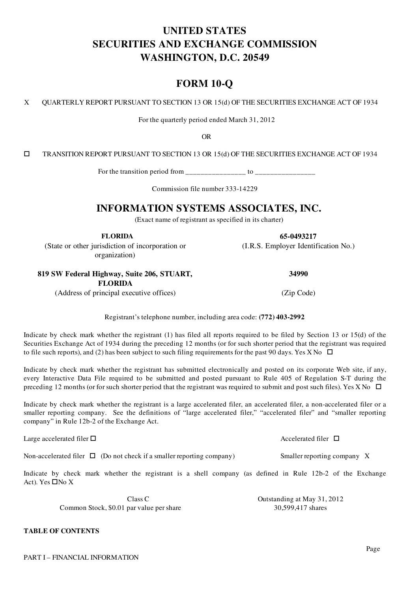# UNITED STATES SECURITIES AND EXCHANGE COMMISSION WASHINGTON, D.C. 20549

## FORM 10-Q

X QUARTERLY REPORT PURSUANT TO SECTION 13 OR 15(d) OF THE SECURITIES EXCHANGE ACT OF 1934

For the quarterly period ended March 31, 2012

OR

o TRANSITION REPORT PURSUANT TO SECTION 13 OR 15(d) OF THE SECURITIES EXCHANGE ACT OF 1934

For the transition period from  $\frac{1}{\sqrt{2}}$  =  $\frac{1}{\sqrt{2}}$  to  $\frac{1}{\sqrt{2}}$ 

Commission file number 333-14229

## INFORMATION SYSTEMS ASSOCIATES, INC.

(Exact name of registrant as specified in its charter)

FLORIDA 65-0493217

(State or other jurisdiction of incorporation or organization)

## 819 SW Federal Highway, Suite 206, STUART,

FLORIDA

(Address of principal executive offices) (Zip Code)

Registrant's telephone number, including area code: (772) 403-2992

Indicate by check mark whether the registrant (1) has filed all reports required to be filed by Section 13 or 15(d) of the Securities Exchange Act of 1934 during the preceding 12 months (or for such shorter period that the registrant was required to file such reports), and (2) has been subject to such filing requirements for the past 90 days. Yes X No  $\Box$ 

Indicate by check mark whether the registrant has submitted electronically and posted on its corporate Web site, if any, every Interactive Data File required to be submitted and posted pursuant to Rule 405 of Regulation S-T during the preceding 12 months (or for such shorter period that the registrant was required to submit and post such files). Yes X No  $\Box$ 

Indicate by check mark whether the registrant is a large accelerated filer, an accelerated filer, a non-accelerated filer or a smaller reporting company. See the definitions of "large accelerated filer," "accelerated filer" and "smaller reporting company" in Rule 12b-2 of the Exchange Act.

Large accelerated filer  $\Box$ 

Non-accelerated filer  $\Box$  (Do not check if a smaller reporting company) Smaller reporting company X

Indicate by check mark whether the registrant is a shell company (as defined in Rule 12b-2 of the Exchange Act). Yes  $\Box$ No X

Class C Class C Class C Class C Class C Class C Class C Class C Class C Class C Class C Class C Class C Class C Common Stock, \$0.01 par value per share 30,599,417 shares

TABLE OF CONTENTS

34990

(I.R.S. Employer Identification No.)

Page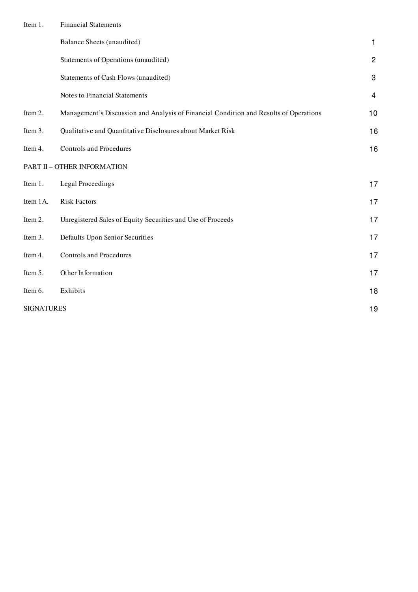| Item 1. |  | <b>Financial Statements</b> |
|---------|--|-----------------------------|
|---------|--|-----------------------------|

|                   | <b>Balance Sheets (unaudited)</b>                                                     | $\mathbf{1}$   |
|-------------------|---------------------------------------------------------------------------------------|----------------|
|                   | Statements of Operations (unaudited)                                                  | $\overline{c}$ |
|                   | Statements of Cash Flows (unaudited)                                                  | 3              |
|                   | Notes to Financial Statements                                                         | 4              |
| Item 2.           | Management's Discussion and Analysis of Financial Condition and Results of Operations | 10             |
| Item 3.           | Qualitative and Quantitative Disclosures about Market Risk                            | 16             |
| Item 4.           | <b>Controls and Procedures</b>                                                        | 16             |
|                   | PART II - OTHER INFORMATION                                                           |                |
| Item 1.           | Legal Proceedings                                                                     | 17             |
| Item 1A.          | <b>Risk Factors</b>                                                                   | 17             |
| Item 2.           | Unregistered Sales of Equity Securities and Use of Proceeds                           | 17             |
| Item 3.           | Defaults Upon Senior Securities                                                       | 17             |
| Item 4.           | <b>Controls and Procedures</b>                                                        | 17             |
| Item 5.           | Other Information                                                                     | 17             |
| Item 6.           | Exhibits                                                                              | 18             |
| <b>SIGNATURES</b> |                                                                                       | 19             |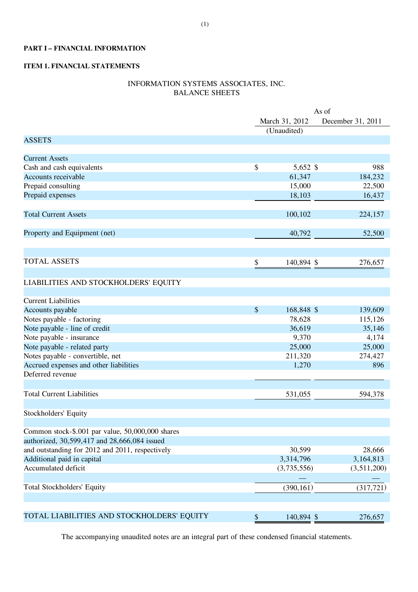### PART I – FINANCIAL INFORMATION

## ITEM 1. FINANCIAL STATEMENTS

## INFORMATION SYSTEMS ASSOCIATES, INC. BALANCE SHEETS

|                                                  | As of                     |             |  |                   |
|--------------------------------------------------|---------------------------|-------------|--|-------------------|
|                                                  | March 31, 2012            |             |  | December 31, 2011 |
|                                                  |                           | (Unaudited) |  |                   |
| <b>ASSETS</b>                                    |                           |             |  |                   |
|                                                  |                           |             |  |                   |
| <b>Current Assets</b>                            |                           |             |  |                   |
| Cash and cash equivalents                        | \$                        | 5,652 \$    |  | 988               |
| Accounts receivable                              |                           | 61,347      |  | 184,232           |
| Prepaid consulting                               |                           | 15,000      |  | 22,500            |
| Prepaid expenses                                 |                           | 18,103      |  | 16,437            |
| <b>Total Current Assets</b>                      |                           | 100,102     |  | 224,157           |
|                                                  |                           |             |  |                   |
| Property and Equipment (net)                     |                           | 40,792      |  | 52,500            |
|                                                  |                           |             |  |                   |
| <b>TOTAL ASSETS</b>                              | \$                        | 140,894 \$  |  | 276,657           |
|                                                  |                           |             |  |                   |
| LIABILITIES AND STOCKHOLDERS' EQUITY             |                           |             |  |                   |
| <b>Current Liabilities</b>                       |                           |             |  |                   |
| Accounts payable                                 | \$                        | 168,848 \$  |  | 139,609           |
| Notes payable - factoring                        |                           | 78,628      |  | 115,126           |
| Note payable - line of credit                    |                           | 36,619      |  | 35,146            |
| Note payable - insurance                         |                           | 9,370       |  | 4,174             |
| Note payable - related party                     |                           | 25,000      |  | 25,000            |
| Notes payable - convertible, net                 |                           | 211,320     |  | 274,427           |
| Accrued expenses and other liabilities           |                           | 1,270       |  | 896               |
| Deferred revenue                                 |                           |             |  |                   |
| <b>Total Current Liabilities</b>                 |                           | 531,055     |  |                   |
|                                                  |                           |             |  | 594,378           |
| Stockholders' Equity                             |                           |             |  |                   |
| Common stock-\$.001 par value, 50,000,000 shares |                           |             |  |                   |
| authorized, 30,599,417 and 28,666,084 issued     |                           |             |  |                   |
| and outstanding for 2012 and 2011, respectively  |                           | 30,599      |  | 28,666            |
| Additional paid in capital                       |                           | 3,314,796   |  | 3,164,813         |
| Accumulated deficit                              |                           | (3,735,556) |  | (3,511,200)       |
|                                                  |                           |             |  |                   |
| Total Stockholders' Equity                       |                           | (390, 161)  |  | (317, 721)        |
|                                                  |                           |             |  |                   |
| TOTAL LIABILITIES AND STOCKHOLDERS' EQUITY       | $\boldsymbol{\mathsf{S}}$ | 140,894 \$  |  | 276,657           |

The accompanying unaudited notes are an integral part of these condensed financial statements.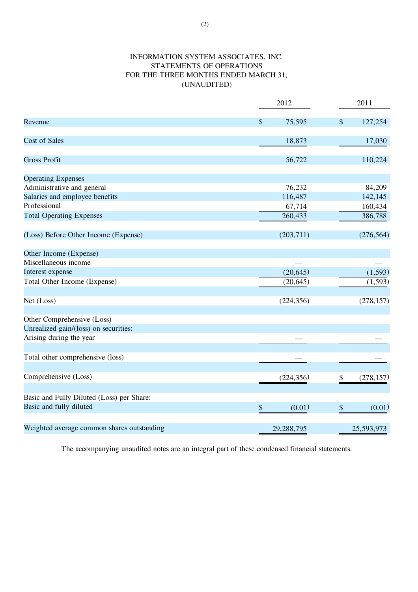## INFORMATION SYSTEM ASSOCIATES, INC. STATEMENTS OF OPERATIONS FOR THE THREE MONTHS ENDED MARCH 31, (UNAUDITED)

|                                                                      | 2012                    | 2011             |
|----------------------------------------------------------------------|-------------------------|------------------|
| Revenue                                                              | $\mathcal{S}$<br>75,595 | \$<br>127,254    |
| <b>Cost of Sales</b>                                                 | 18,873                  | 17,030           |
| <b>Gross Profit</b>                                                  | 56,722                  | 110,224          |
| <b>Operating Expenses</b>                                            |                         |                  |
| Administrative and general                                           | 76,232                  | 84,209           |
| Salaries and employee benefits                                       | 116,487                 | 142,145          |
| Professional                                                         | 67,714                  | 160,434          |
| <b>Total Operating Expenses</b>                                      | 260,433                 | 386,788          |
| (Loss) Before Other Income (Expense)                                 | (203,711)               | (276, 564)       |
| Other Income (Expense)                                               |                         |                  |
| Miscellaneous income                                                 |                         |                  |
| Interest expense                                                     | (20, 645)               | (1, 593)         |
| Total Other Income (Expense)                                         | (20, 645)               | (1, 593)         |
| Net (Loss)                                                           | (224, 356)              | (278, 157)       |
| Other Comprehensive (Loss)                                           |                         |                  |
| Unrealized gain/(loss) on securities:                                |                         |                  |
| Arising during the year                                              |                         |                  |
| Total other comprehensive (loss)                                     |                         |                  |
| Comprehensive (Loss)                                                 | (224, 356)              | (278, 157)<br>\$ |
| Basic and Fully Diluted (Loss) per Share:<br>Basic and fully diluted | \$<br>(0.01)            | \$<br>(0.01)     |
| Weighted average common shares outstanding                           | 29,288,795              | 25,593,973       |

The accompanying unaudited notes are an integral part of these condensed financial statements.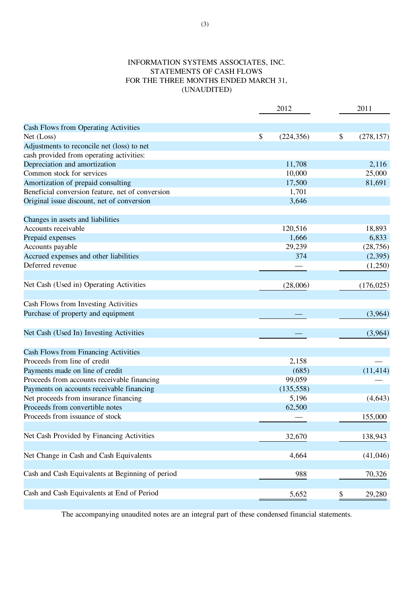## INFORMATION SYSTEMS ASSOCIATES, INC. STATEMENTS OF CASH FLOWS FOR THE THREE MONTHS ENDED MARCH 31, (UNAUDITED)

|                                                  | 2012 |            | 2011             |  |
|--------------------------------------------------|------|------------|------------------|--|
| Cash Flows from Operating Activities             |      |            |                  |  |
| Net (Loss)                                       | \$   | (224, 356) | \$<br>(278, 157) |  |
| Adjustments to reconcile net (loss) to net       |      |            |                  |  |
| cash provided from operating activities:         |      |            |                  |  |
| Depreciation and amortization                    |      | 11,708     | 2,116            |  |
| Common stock for services                        |      | 10,000     | 25,000           |  |
| Amortization of prepaid consulting               |      | 17,500     | 81,691           |  |
| Beneficial conversion feature, net of conversion |      | 1,701      |                  |  |
| Original issue discount, net of conversion       |      | 3,646      |                  |  |
| Changes in assets and liabilities                |      |            |                  |  |
| Accounts receivable                              |      | 120,516    | 18,893           |  |
| Prepaid expenses                                 |      | 1,666      | 6,833            |  |
| Accounts payable                                 |      | 29,239     | (28, 756)        |  |
| Accrued expenses and other liabilities           |      | 374        | (2, 395)         |  |
| Deferred revenue                                 |      |            | (1,250)          |  |
| Net Cash (Used in) Operating Activities          |      | (28,006)   | (176, 025)       |  |
| Cash Flows from Investing Activities             |      |            |                  |  |
| Purchase of property and equipment               |      |            | (3,964)          |  |
| Net Cash (Used In) Investing Activities          |      |            | (3,964)          |  |
| Cash Flows from Financing Activities             |      |            |                  |  |
| Proceeds from line of credit                     |      | 2,158      |                  |  |
| Payments made on line of credit                  |      | (685)      | (11, 414)        |  |
| Proceeds from accounts receivable financing      |      | 99,059     |                  |  |
| Payments on accounts receivable financing        |      | (135, 558) |                  |  |
| Net proceeds from insurance financing            |      | 5,196      | (4, 643)         |  |
| Proceeds from convertible notes                  |      | 62,500     |                  |  |
| Proceeds from issuance of stock                  |      |            | 155,000          |  |
| Net Cash Provided by Financing Activities        |      | 32,670     | 138,943          |  |
| Net Change in Cash and Cash Equivalents          |      | 4,664      | (41,046)         |  |
| Cash and Cash Equivalents at Beginning of period |      | 988        | 70,326           |  |
| Cash and Cash Equivalents at End of Period       |      | 5,652      | \$<br>29,280     |  |
|                                                  |      |            |                  |  |

The accompanying unaudited notes are an integral part of these condensed financial statements.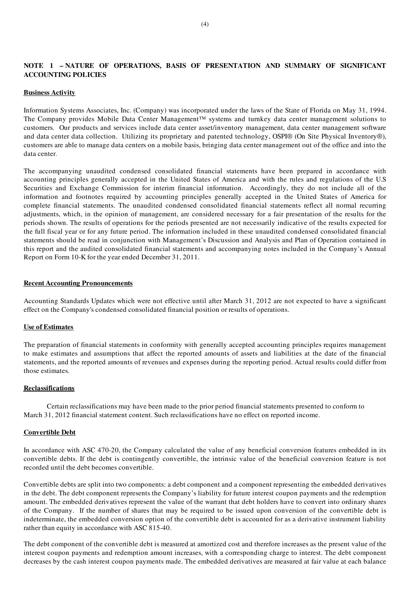## NOTE 1 – NATURE OF OPERATIONS, BASIS OF PRESENTATION AND SUMMARY OF SIGNIFICANT ACCOUNTING POLICIES

#### Business Activity

Information Systems Associates, Inc. (Company) was incorporated under the laws of the State of Florida on May 31, 1994. The Company provides Mobile Data Center Management™ systems and turnkey data center management solutions to customers. Our products and services include data center asset/inventory management, data center management software and data center data collection. Utilizing its proprietary and patented technology, OSPI® (On Site Physical Inventory®), customers are able to manage data centers on a mobile basis, bringing data center management out of the office and into the data center.

The accompanying unaudited condensed consolidated financial statements have been prepared in accordance with accounting principles generally accepted in the United States of America and with the rules and regulations of the U.S Securities and Exchange Commission for interim financial information. Accordingly, they do not include all of the information and footnotes required by accounting principles generally accepted in the United States of America for complete financial statements. The unaudited condensed consolidated financial statements reflect all normal recurring adjustments, which, in the opinion of management, are considered necessary for a fair presentation of the results for the periods shown. The results of operations for the periods presented are not necessarily indicative of the results expected for the full fiscal year or for any future period. The information included in these unaudited condensed consolidated financial statements should be read in conjunction with Management's Discussion and Analysis and Plan of Operation contained in this report and the audited consolidated financial statements and accompanying notes included in the Company's Annual Report on Form 10-K for the year ended December 31, 2011.

#### Recent Accounting Pronouncements

Accounting Standards Updates which were not effective until after March 31, 2012 are not expected to have a significant effect on the Company's condensed consolidated financial position or results of operations.

#### Use of Estimates

The preparation of financial statements in conformity with generally accepted accounting principles requires management to make estimates and assumptions that affect the reported amounts of assets and liabilities at the date of the financial statements, and the reported amounts of revenues and expenses during the reporting period. Actual results could differ from those estimates.

#### Reclassifications

Certain reclassifications may have been made to the prior period financial statements presented to conform to March 31, 2012 financial statement content. Such reclassifications have no effect on reported income.

#### Convertible Debt

In accordance with ASC 470-20, the Company calculated the value of any beneficial conversion features embedded in its convertible debts. If the debt is contingently convertible, the intrinsic value of the beneficial conversion feature is not recorded until the debt becomes convertible.

Convertible debts are split into two components: a debt component and a component representing the embedded derivatives in the debt. The debt component represents the Company's liability for future interest coupon payments and the redemption amount. The embedded derivatives represent the value of the warrant that debt holders have to convert into ordinary shares of the Company. If the number of shares that may be required to be issued upon conversion of the convertible debt is indeterminate, the embedded conversion option of the convertible debt is accounted for as a derivative instrument liability rather than equity in accordance with ASC 815-40.

The debt component of the convertible debt is measured at amortized cost and therefore increases as the present value of the interest coupon payments and redemption amount increases, with a corresponding charge to interest. The debt component decreases by the cash interest coupon payments made. The embedded derivatives are measured at fair value at each balance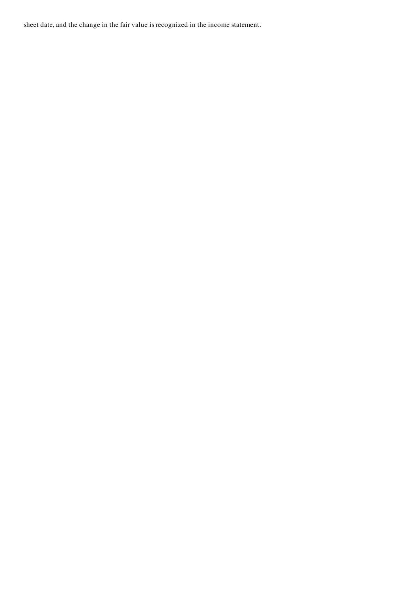sheet date, and the change in the fair value is recognized in the income statement.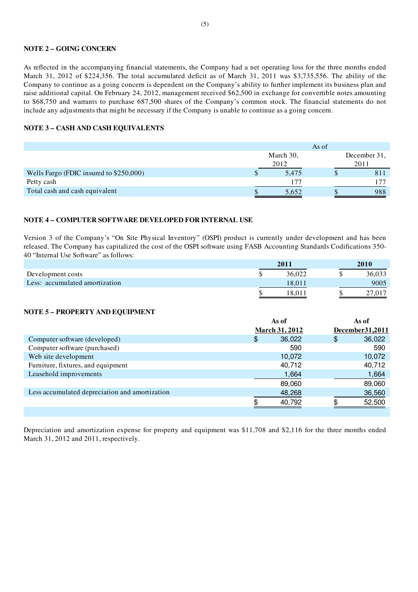#### NOTE 2 – GOING CONCERN

As reflected in the accompanying financial statements, the Company had a net operating loss for the three months ended March 31, 2012 of \$224,356. The total accumulated deficit as of March 31, 2011 was \$3,735,556. The ability of the Company to continue as a going concern is dependent on the Company's ability to further implement its business plan and raise additional capital. On February 24, 2012, management received \$62,500 in exchange for convertible notes amounting to \$68,750 and warrants to purchase 687,500 shares of the Company's common stock. The financial statements do not include any adjustments that might be necessary if the Company is unable to continue as a going concern.

#### NOTE 3 – CASH AND CASH EQUIVALENTS

|                                         | As of |           |  |              |  |
|-----------------------------------------|-------|-----------|--|--------------|--|
|                                         |       | March 30, |  | December 31, |  |
|                                         | 2012  |           |  | 2011         |  |
| Wells Fargo (FDIC insured to \$250,000) |       | 5,475     |  | 81           |  |
| Petty cash                              |       | 177       |  |              |  |
| Total cash and cash equivalent          |       | 5.652     |  | 988          |  |

#### NOTE 4 – COMPUTER SOFTWARE DEVELOPED FOR INTERNAL USE

Version 3 of the Company's "On Site Physical Inventory" (OSPI) product is currently under development and has been released. The Company has capitalized the cost of the OSPI software using FASB Accounting Standards Codifications 350- 40 "Internal Use Software" as follows:

|                                | 2011   | 2010   |
|--------------------------------|--------|--------|
| Development costs              | 36,022 | 36,033 |
| Less: accumulated amortization | 18.011 | 9005   |
|                                | 18.01° |        |

#### NOTE 5 – PROPERTY AND EQUIPMENT

|                                                | As of                 | As of             |
|------------------------------------------------|-----------------------|-------------------|
|                                                | <b>March 31, 2012</b> | December 31, 2011 |
| Computer software (developed)                  | 36,022<br>\$          | 36,022<br>\$      |
| Computer software (purchased)                  | 590                   | 590               |
| Web site development                           | 10,072                | 10,072            |
| Furniture, fixtures, and equipment             | 40,712                | 40,712            |
| Leasehold improvements                         | 1,664                 | 1,664             |
|                                                | 89,060                | 89,060            |
| Less accumulated depreciation and amortization | 48,268                | 36,560            |
|                                                | 40,792                | 52,500            |
|                                                |                       |                   |

Depreciation and amortization expense for property and equipment was \$11,708 and \$2,116 for the three months ended March 31, 2012 and 2011, respectively.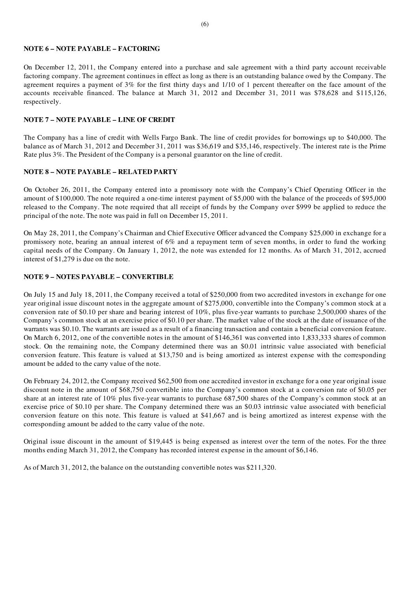#### NOTE 6 – NOTE PAYABLE – FACTORING

On December 12, 2011, the Company entered into a purchase and sale agreement with a third party account receivable factoring company. The agreement continues in effect as long as there is an outstanding balance owed by the Company. The agreement requires a payment of  $3\%$  for the first thirty days and  $1/10$  of 1 percent thereafter on the face amount of the accounts receivable financed. The balance at March 31, 2012 and December 31, 2011 was \$78,628 and \$115,126, respectively.

#### NOTE 7 – NOTE PAYABLE – LINE OF CREDIT

The Company has a line of credit with Wells Fargo Bank. The line of credit provides for borrowings up to \$40,000. The balance as of March 31, 2012 and December 31, 2011 was \$36,619 and \$35,146, respectively. The interest rate is the Prime Rate plus 3%. The President of the Company is a personal guarantor on the line of credit.

#### NOTE 8 – NOTE PAYABLE – RELATED PARTY

On October 26, 2011, the Company entered into a promissory note with the Company's Chief Operating Officer in the amount of \$100,000. The note required a one-time interest payment of \$5,000 with the balance of the proceeds of \$95,000 released to the Company. The note required that all receipt of funds by the Company over \$999 be applied to reduce the principal of the note. The note was paid in full on December 15, 2011.

On May 28, 2011, the Company's Chairman and Chief Executive Officer advanced the Company \$25,000 in exchange for a promissory note, bearing an annual interest of 6% and a repayment term of seven months, in order to fund the working capital needs of the Company. On January 1, 2012, the note was extended for 12 months. As of March 31, 2012, accrued interest of \$1,279 is due on the note.

#### NOTE 9 – NOTES PAYABLE – CONVERTIBLE

On July 15 and July 18, 2011, the Company received a total of \$250,000 from two accredited investors in exchange for one year original issue discount notes in the aggregate amount of \$275,000, convertible into the Company's common stock at a conversion rate of \$0.10 per share and bearing interest of  $10\%$ , plus five-year warrants to purchase 2,500,000 shares of the Company's common stock at an exercise price of \$0.10 per share. The market value of the stock at the date of issuance of the warrants was \$0.10. The warrants are issued as a result of a financing transaction and contain a beneficial conversion feature. On March 6, 2012, one of the convertible notes in the amount of \$146,361 was converted into 1,833,333 shares of common stock. On the remaining note, the Company determined there was an \$0.01 intrinsic value associated with beneficial conversion feature. This feature is valued at \$13,750 and is being amortized as interest expense with the corresponding amount be added to the carry value of the note.

On February 24, 2012, the Company received \$62,500 from one accredited investor in exchange for a one year original issue discount note in the amount of \$68,750 convertible into the Company's common stock at a conversion rate of \$0.05 per share at an interest rate of 10% plus five-year warrants to purchase 687,500 shares of the Company's common stock at an exercise price of \$0.10 per share. The Company determined there was an \$0.03 intrinsic value associated with beneficial conversion feature on this note. This feature is valued at \$41,667 and is being amortized as interest expense with the corresponding amount be added to the carry value of the note.

Original issue discount in the amount of \$19,445 is being expensed as interest over the term of the notes. For the three months ending March 31, 2012, the Company has recorded interest expense in the amount of \$6,146.

As of March 31, 2012, the balance on the outstanding convertible notes was \$211,320.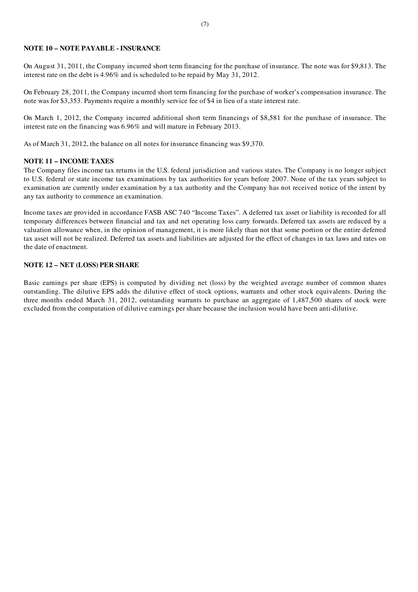#### NOTE 10 – NOTE PAYABLE - INSURANCE

On August 31, 2011, the Company incurred short term financing for the purchase of insurance. The note was for \$9,813. The interest rate on the debt is 4.96% and is scheduled to be repaid by May 31, 2012.

On February 28, 2011, the Company incurred short term financing for the purchase of worker's compensation insurance. The note was for \$3,353. Payments require a monthly service fee of \$4 in lieu of a state interest rate.

On March 1, 2012, the Company incurred additional short term financings of \$8,581 for the purchase of insurance. The interest rate on the financing was 6.96% and will mature in February 2013.

As of March 31, 2012, the balance on all notes for insurance financing was \$9,370.

#### NOTE 11 – INCOME TAXES

The Company files income tax returns in the U.S. federal jurisdiction and various states. The Company is no longer subject to U.S. federal or state income tax examinations by tax authorities for years before 2007. None of the tax years subject to examination are currently under examination by a tax authority and the Company has not received notice of the intent by any tax authority to commence an examination.

Income taxes are provided in accordance FASB ASC 740 "Income Taxes". A deferred tax asset or liability is recorded for all temporary differences between financial and tax and net operating loss carry forwards. Deferred tax assets are reduced by a valuation allowance when, in the opinion of management, it is more likely than not that some portion or the entire deferred tax asset will not be realized. Deferred tax assets and liabilities are adjusted for the effect of changes in tax laws and rates on the date of enactment.

#### NOTE 12 – NET (LOSS) PER SHARE

Basic earnings per share (EPS) is computed by dividing net (loss) by the weighted average number of common shares outstanding. The dilutive EPS adds the dilutive effect of stock options, warrants and other stock equivalents. During the three months ended March 31, 2012, outstanding warrants to purchase an aggregate of 1,487,500 shares of stock were excluded from the computation of dilutive earnings per share because the inclusion would have been anti-dilutive.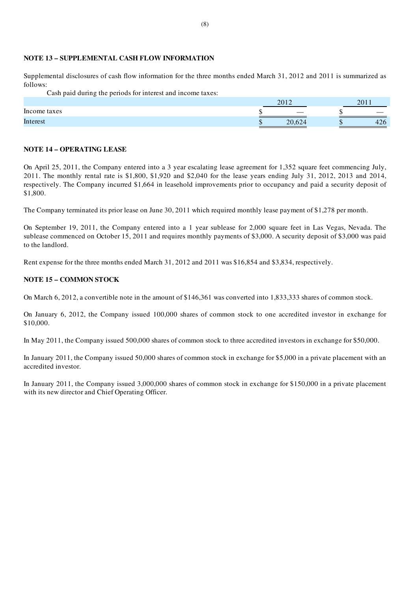#### NOTE 13 – SUPPLEMENTAL CASH FLOW INFORMATION

Supplemental disclosures of cash flow information for the three months ended March 31, 2012 and 2011 is summarized as follows:

Cash paid during the periods for interest and income taxes:

|              |     | 2012                     | $\mathbf{201}$ |
|--------------|-----|--------------------------|----------------|
| Income taxes |     | $\overline{\phantom{a}}$ |                |
| Interest     | . . | 20,624                   | $\sim$<br>440  |

#### NOTE 14 – OPERATING LEASE

On April 25, 2011, the Company entered into a 3 year escalating lease agreement for 1,352 square feet commencing July, 2011. The monthly rental rate is \$1,800, \$1,920 and \$2,040 for the lease years ending July 31, 2012, 2013 and 2014, respectively. The Company incurred \$1,664 in leasehold improvements prior to occupancy and paid a security deposit of \$1,800.

The Company terminated its prior lease on June 30, 2011 which required monthly lease payment of \$1,278 per month.

On September 19, 2011, the Company entered into a 1 year sublease for 2,000 square feet in Las Vegas, Nevada. The sublease commenced on October 15, 2011 and requires monthly payments of \$3,000. A security deposit of \$3,000 was paid to the landlord.

Rent expense for the three months ended March 31, 2012 and 2011 was \$16,854 and \$3,834, respectively.

#### NOTE 15 – COMMON STOCK

On March 6, 2012, a convertible note in the amount of \$146,361 was converted into 1,833,333 shares of common stock.

On January 6, 2012, the Company issued 100,000 shares of common stock to one accredited investor in exchange for \$10,000.

In May 2011, the Company issued 500,000 shares of common stock to three accredited investors in exchange for \$50,000.

In January 2011, the Company issued 50,000 shares of common stock in exchange for \$5,000 in a private placement with an accredited investor.

In January 2011, the Company issued 3,000,000 shares of common stock in exchange for \$150,000 in a private placement with its new director and Chief Operating Officer.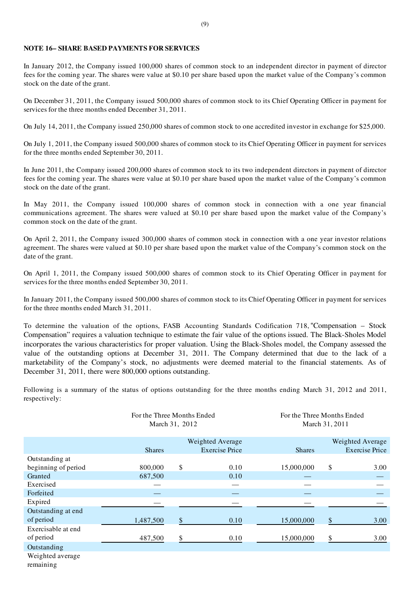#### NOTE 16– SHARE BASED PAYMENTS FOR SERVICES

In January 2012, the Company issued 100,000 shares of common stock to an independent director in payment of director fees for the coming year. The shares were value at \$0.10 per share based upon the market value of the Company's common stock on the date of the grant.

On December 31, 2011, the Company issued 500,000 shares of common stock to its Chief Operating Officer in payment for services for the three months ended December 31, 2011.

On July 14, 2011, the Company issued 250,000 shares of common stock to one accredited investor in exchange for \$25,000.

On July 1, 2011, the Company issued 500,000 shares of common stock to its Chief Operating Officer in payment for services for the three months ended September 30, 2011.

In June 2011, the Company issued 200,000 shares of common stock to its two independent directors in payment of director fees for the coming year. The shares were value at \$0.10 per share based upon the market value of the Company's common stock on the date of the grant.

In May 2011, the Company issued 100,000 shares of common stock in connection with a one year financial communications agreement. The shares were valued at \$0.10 per share based upon the market value of the Company's common stock on the date of the grant.

On April 2, 2011, the Company issued 300,000 shares of common stock in connection with a one year investor relations agreement. The shares were valued at \$0.10 per share based upon the market value of the Company's common stock on the date of the grant.

On April 1, 2011, the Company issued 500,000 shares of common stock to its Chief Operating Officer in payment for services for the three months ended September 30, 2011.

In January 2011, the Company issued 500,000 shares of common stock to its Chief Operating Officer in payment for services for the three months ended March 31, 2011.

To determine the valuation of the options, FASB Accounting Standards Codification 718, "Compensation – Stock Compensation" requires a valuation technique to estimate the fair value of the options issued. The Black-Sholes Model incorporates the various characteristics for proper valuation. Using the Black-Sholes model, the Company assessed the value of the outstanding options at December 31, 2011. The Company determined that due to the lack of a marketability of the Company's stock, no adjustments were deemed material to the financial statements. As of December 31, 2011, there were 800,000 options outstanding.

Following is a summary of the status of options outstanding for the three months ending March 31, 2012 and 2011, respectively:

|                     | For the Three Months Ended<br>March 31, 2012 |    |                       | For the Three Months Ended<br>March 31, 2011 |    |                       |  |
|---------------------|----------------------------------------------|----|-----------------------|----------------------------------------------|----|-----------------------|--|
|                     |                                              |    | Weighted Average      |                                              |    | Weighted Average      |  |
|                     | <b>Shares</b>                                |    | <b>Exercise Price</b> | <b>Shares</b>                                |    | <b>Exercise Price</b> |  |
| Outstanding at      |                                              |    |                       |                                              |    |                       |  |
| beginning of period | 800,000                                      | \$ | 0.10                  | 15,000,000                                   | \$ | 3.00                  |  |
| Granted             | 687,500                                      |    | 0.10                  |                                              |    |                       |  |
| Exercised           |                                              |    |                       |                                              |    |                       |  |
| Forfeited           |                                              |    |                       |                                              |    |                       |  |
| Expired             |                                              |    |                       |                                              |    |                       |  |
| Outstanding at end  |                                              |    |                       |                                              |    |                       |  |
| of period           | 1,487,500                                    | \$ | 0.10                  | 15,000,000                                   | S  | 3.00                  |  |
| Exercisable at end  |                                              |    |                       |                                              |    |                       |  |
| of period           | 487,500                                      | \$ | 0.10                  | 15,000,000                                   | \$ | 3.00                  |  |
| Outstanding         |                                              |    |                       |                                              |    |                       |  |
| Waighted gyarage    |                                              |    |                       |                                              |    |                       |  |

Weighted average remaining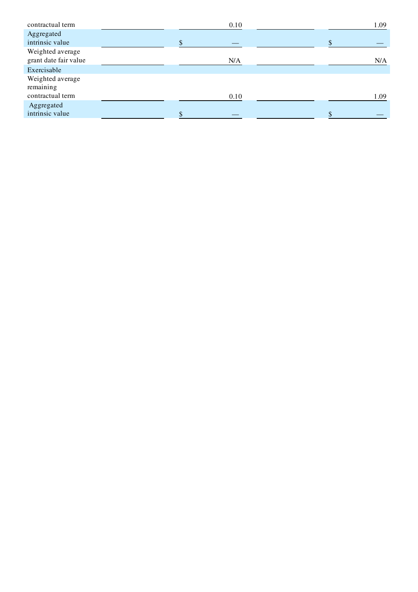| contractual term                          |  | 0.10 |  | 1.09 |
|-------------------------------------------|--|------|--|------|
| Aggregated                                |  |      |  |      |
| intrinsic value                           |  |      |  |      |
| Weighted average<br>grant date fair value |  | N/A  |  | N/A  |
| Exercisable                               |  |      |  |      |
| Weighted average                          |  |      |  |      |
| remaining                                 |  |      |  |      |
| contractual term                          |  | 0.10 |  | 1.09 |
| Aggregated                                |  |      |  |      |
| intrinsic value                           |  |      |  |      |
|                                           |  |      |  |      |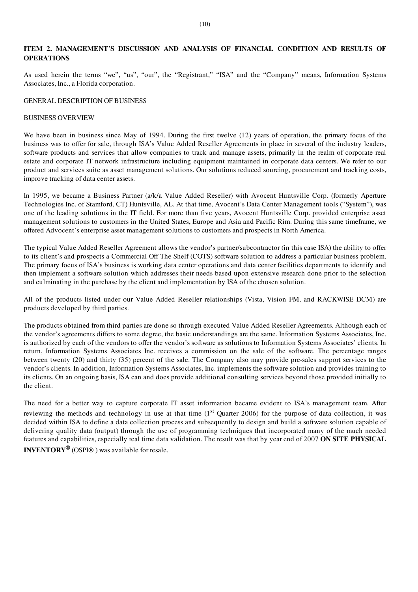#### ITEM 2. MANAGEMENT'S DISCUSSION AND ANALYSIS OF FINANCIAL CONDITION AND RESULTS OF **OPERATIONS**

As used herein the terms "we", "us", "our", the "Registrant," "ISA" and the "Company" means, Information Systems Associates, Inc., a Florida corporation.

#### GENERAL DESCRIPTION OF BUSINESS

#### BUSINESS OVERVIEW

We have been in business since May of 1994. During the first twelve (12) years of operation, the primary focus of the business was to offer for sale, through ISA's Value Added Reseller Agreements in place in several of the industry leaders, software products and services that allow companies to track and manage assets, primarily in the realm of corporate real estate and corporate IT network infrastructure including equipment maintained in corporate data centers. We refer to our product and services suite as asset management solutions. Our solutions reduced sourcing, procurement and tracking costs, improve tracking of data center assets.

In 1995, we became a Business Partner (a/k/a Value Added Reseller) with Avocent Huntsville Corp. (formerly Aperture Technologies Inc. of Stamford, CT) Huntsville, AL. At that time, Avocent's Data Center Management tools ("System"), was one of the leading solutions in the IT field. For more than five years, Avocent Huntsville Corp. provided enterprise asset management solutions to customers in the United States, Europe and Asia and Pacific Rim. During this same timeframe, we offered Advocent's enterprise asset management solutions to customers and prospects in North America.

The typical Value Added Reseller Agreement allows the vendor's partner/subcontractor (in this case ISA) the ability to offer to its client's and prospects a Commercial Off The Shelf (COTS) software solution to address a particular business problem. The primary focus of ISA's business is working data center operations and data center facilities departments to identify and then implement a software solution which addresses their needs based upon extensive research done prior to the selection and culminating in the purchase by the client and implementation by ISA of the chosen solution.

All of the products listed under our Value Added Reseller relationships (Vista, Vision FM, and RACKWISE DCM) are products developed by third parties.

The products obtained from third parties are done so through executed Value Added Reseller Agreements. Although each of the vendor's agreements differs to some degree, the basic understandings are the same. Information Systems Associates, Inc. is authorized by each of the vendors to offer the vendor's software as solutions to Information Systems Associates' clients. In return, Information Systems Associates Inc. receives a commission on the sale of the software. The percentage ranges between twenty (20) and thirty (35) percent of the sale. The Company also may provide pre-sales support services to the vendor's clients. In addition, Information Systems Associates, Inc. implements the software solution and provides training to its clients. On an ongoing basis, ISA can and does provide additional consulting services beyond those provided initially to the client.

The need for a better way to capture corporate IT asset information became evident to ISA's management team. After reviewing the methods and technology in use at that time  $(1<sup>st</sup>$  Quarter 2006) for the purpose of data collection, it was decided within ISA to define a data collection process and subsequently to design and build a software solution capable of delivering quality data (output) through the use of programming techniques that incorporated many of the much needed features and capabilities, especially real time data validation. The result was that by year end of 2007 ON SITE PHYSICAL **INVENTORY**<sup>®</sup> (OSPI®) was available for resale.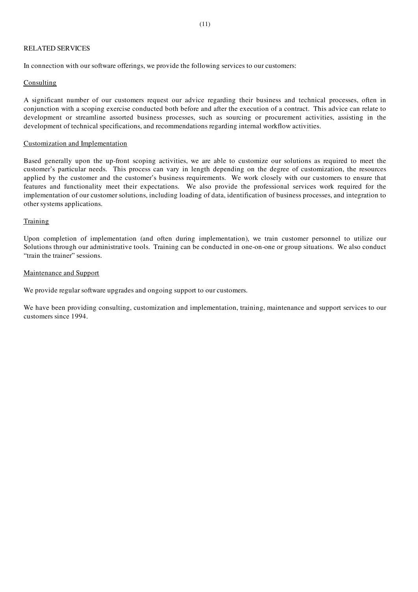#### RELATED SERVICES

In connection with our software offerings, we provide the following services to our customers:

#### **Consulting**

A significant number of our customers request our advice regarding their business and technical processes, often in conjunction with a scoping exercise conducted both before and after the execution of a contract. This advice can relate to development or streamline assorted business processes, such as sourcing or procurement activities, assisting in the development of technical specifications, and recommendations regarding internal workflow activities.

#### Customization and Implementation

Based generally upon the up-front scoping activities, we are able to customize our solutions as required to meet the customer's particular needs. This process can vary in length depending on the degree of customization, the resources applied by the customer and the customer's business requirements. We work closely with our customers to ensure that features and functionality meet their expectations. We also provide the professional services work required for the implementation of our customer solutions, including loading of data, identification of business processes, and integration to other systems applications.

#### Training

Upon completion of implementation (and often during implementation), we train customer personnel to utilize our Solutions through our administrative tools. Training can be conducted in one-on-one or group situations. We also conduct "train the trainer" sessions.

#### Maintenance and Support

We provide regular software upgrades and ongoing support to our customers.

We have been providing consulting, customization and implementation, training, maintenance and support services to our customers since 1994.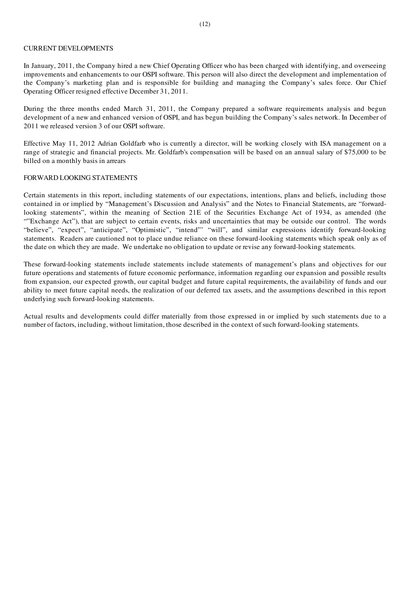#### CURRENT DEVELOPMENTS

In January, 2011, the Company hired a new Chief Operating Officer who has been charged with identifying, and overseeing improvements and enhancements to our OSPI software. This person will also direct the development and implementation of the Company's marketing plan and is responsible for building and managing the Company's sales force. Our Chief Operating Officer resigned effective December 31, 2011.

During the three months ended March 31, 2011, the Company prepared a software requirements analysis and begun development of a new and enhanced version of OSPI, and has begun building the Company's sales network. In December of 2011 we released version 3 of our OSPI software.

Effective May 11, 2012 Adrian Goldfarb who is currently a director, will be working closely with ISA management on a range of strategic and financial projects. Mr. Goldfarb's compensation will be based on an annual salary of \$75,000 to be billed on a monthly basis in arrears

#### FORWARD LOOKING STATEMENTS

Certain statements in this report, including statements of our expectations, intentions, plans and beliefs, including those contained in or implied by "Management's Discussion and Analysis" and the Notes to Financial Statements, are "forwardlooking statements", within the meaning of Section 21E of the Securities Exchange Act of 1934, as amended (the ""Exchange Act"), that are subject to certain events, risks and uncertainties that may be outside our control. The words "believe", "expect", "anticipate", "Optimistic", "intend"' "will", and similar expressions identify forward-looking statements. Readers are cautioned not to place undue reliance on these forward-looking statements which speak only as of the date on which they are made. We undertake no obligation to update or revise any forward-looking statements.

These forward-looking statements include statements include statements of management's plans and objectives for our future operations and statements of future economic performance, information regarding our expansion and possible results from expansion, our expected growth, our capital budget and future capital requirements, the availability of funds and our ability to meet future capital needs, the realization of our deferred tax assets, and the assumptions described in this report underlying such forward-looking statements.

Actual results and developments could differ materially from those expressed in or implied by such statements due to a number of factors, including, without limitation, those described in the context of such forward-looking statements.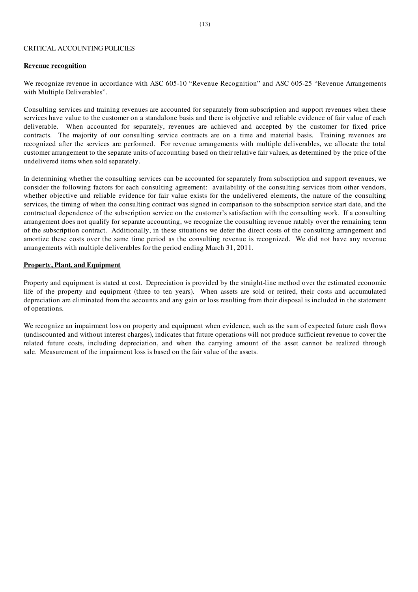#### CRITICAL ACCOUNTING POLICIES

#### Revenue recognition

We recognize revenue in accordance with ASC 605-10 "Revenue Recognition" and ASC 605-25 "Revenue Arrangements with Multiple Deliverables".

Consulting services and training revenues are accounted for separately from subscription and support revenues when these services have value to the customer on a standalone basis and there is objective and reliable evidence of fair value of each deliverable. When accounted for separately, revenues are achieved and accepted by the customer for fixed price contracts. The majority of our consulting service contracts are on a time and material basis. Training revenues are recognized after the services are performed. For revenue arrangements with multiple deliverables, we allocate the total customer arrangement to the separate units of accounting based on their relative fair values, as determined by the price of the undelivered items when sold separately.

In determining whether the consulting services can be accounted for separately from subscription and support revenues, we consider the following factors for each consulting agreement: availability of the consulting services from other vendors, whether objective and reliable evidence for fair value exists for the undelivered elements, the nature of the consulting services, the timing of when the consulting contract was signed in comparison to the subscription service start date, and the contractual dependence of the subscription service on the customer's satisfaction with the consulting work. If a consulting arrangement does not qualify for separate accounting, we recognize the consulting revenue ratably over the remaining term of the subscription contract. Additionally, in these situations we defer the direct costs of the consulting arrangement and amortize these costs over the same time period as the consulting revenue is recognized. We did not have any revenue arrangements with multiple deliverables for the period ending March 31, 2011.

#### Property, Plant, and Equipment

Property and equipment is stated at cost. Depreciation is provided by the straight-line method over the estimated economic life of the property and equipment (three to ten years). When assets are sold or retired, their costs and accumulated depreciation are eliminated from the accounts and any gain or loss resulting from their disposal is included in the statement of operations.

We recognize an impairment loss on property and equipment when evidence, such as the sum of expected future cash flows (undiscounted and without interest charges), indicates that future operations will not produce sufficient revenue to cover the related future costs, including depreciation, and when the carrying amount of the asset cannot be realized through sale. Measurement of the impairment loss is based on the fair value of the assets.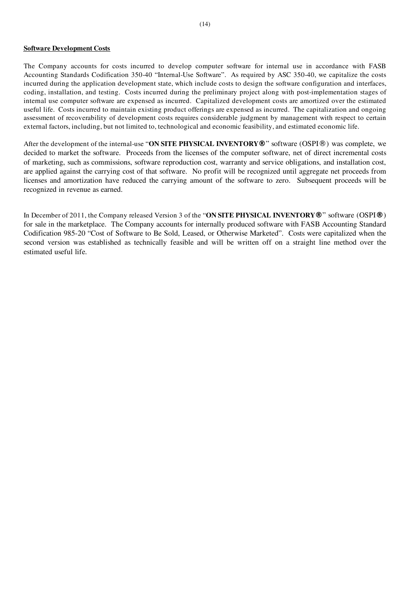#### Software Development Costs

The Company accounts for costs incurred to develop computer software for internal use in accordance with FASB Accounting Standards Codification 350-40 "Internal-Use Software". As required by ASC 350-40, we capitalize the costs incurred during the application development state, which include costs to design the software configuration and interfaces, coding, installation, and testing. Costs incurred during the preliminary project along with post-implementation stages of internal use computer software are expensed as incurred. Capitalized development costs are amortized over the estimated useful life. Costs incurred to maintain existing product offerings are expensed as incurred. The capitalization and ongoing assessment of recoverability of development costs requires considerable judgment by management with respect to certain external factors, including, but not limited to, technological and economic feasibility, and estimated economic life.

After the development of the internal-use "ON SITE PHYSICAL INVENTORY**®**" software (OSPI®) was complete, we decided to market the software. Proceeds from the licenses of the computer software, net of direct incremental costs of marketing, such as commissions, software reproduction cost, warranty and service obligations, and installation cost, are applied against the carrying cost of that software. No profit will be recognized until aggregate net proceeds from licenses and amortization have reduced the carrying amount of the software to zero. Subsequent proceeds will be recognized in revenue as earned.

In December of 2011, the Company released Version 3 of the "ON SITE PHYSICAL INVENTORY**®**" software (OSPI**®**) for sale in the marketplace. The Company accounts for internally produced software with FASB Accounting Standard Codification 985-20 "Cost of Software to Be Sold, Leased, or Otherwise Marketed". Costs were capitalized when the second version was established as technically feasible and will be written off on a straight line method over the estimated useful life.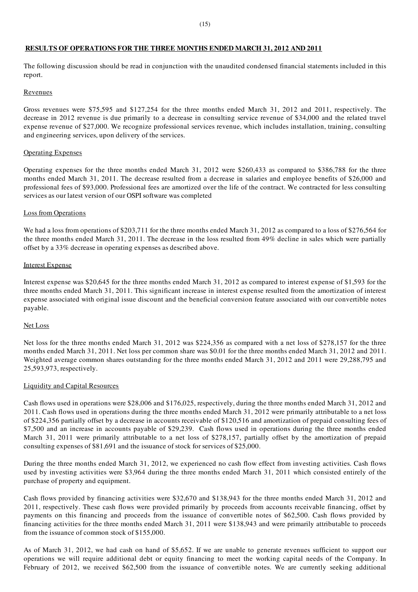#### RESULTS OF OPERATIONS FOR THE THREE MONTHS ENDED MARCH 31, 2012 AND 2011

The following discussion should be read in conjunction with the unaudited condensed financial statements included in this report.

#### Revenues

Gross revenues were \$75,595 and \$127,254 for the three months ended March 31, 2012 and 2011, respectively. The decrease in 2012 revenue is due primarily to a decrease in consulting service revenue of \$34,000 and the related travel expense revenue of \$27,000. We recognize professional services revenue, which includes installation, training, consulting and engineering services, upon delivery of the services.

#### Operating Expenses

Operating expenses for the three months ended March 31, 2012 were \$260,433 as compared to \$386,788 for the three months ended March 31, 2011. The decrease resulted from a decrease in salaries and employee benefits of \$26,000 and professional fees of \$93,000. Professional fees are amortized over the life of the contract. We contracted for less consulting services as our latest version of our OSPI software was completed

#### Loss from Operations

We had a loss from operations of \$203,711 for the three months ended March 31, 2012 as compared to a loss of \$276,564 for the three months ended March 31, 2011. The decrease in the loss resulted from 49% decline in sales which were partially offset by a 33% decrease in operating expenses as described above.

#### Interest Expense

Interest expense was \$20,645 for the three months ended March 31, 2012 as compared to interest expense of \$1,593 for the three months ended March 31, 2011. This significant increase in interest expense resulted from the amortization of interest expense associated with original issue discount and the beneficial conversion feature associated with our convertible notes payable.

#### Net Loss

Net loss for the three months ended March 31, 2012 was \$224,356 as compared with a net loss of \$278,157 for the three months ended March 31, 2011. Net loss per common share was \$0.01 for the three months ended March 31, 2012 and 2011. Weighted average common shares outstanding for the three months ended March 31, 2012 and 2011 were 29,288,795 and 25,593,973, respectively.

#### Liquidity and Capital Resources

Cash flows used in operations were \$28,006 and \$176,025, respectively, during the three months ended March 31, 2012 and 2011. Cash flows used in operations during the three months ended March 31, 2012 were primarily attributable to a net loss of \$224,356 partially offset by a decrease in accounts receivable of \$120,516 and amortization of prepaid consulting fees of \$7,500 and an increase in accounts payable of \$29,239. Cash flows used in operations during the three months ended March 31, 2011 were primarily attributable to a net loss of \$278,157, partially offset by the amortization of prepaid consulting expenses of \$81,691 and the issuance of stock for services of \$25,000.

During the three months ended March 31, 2012, we experienced no cash flow effect from investing activities. Cash flows used by investing activities were \$3,964 during the three months ended March 31, 2011 which consisted entirely of the purchase of property and equipment.

Cash flows provided by financing activities were \$32,670 and \$138,943 for the three months ended March 31, 2012 and 2011, respectively. These cash flows were provided primarily by proceeds from accounts receivable financing, offset by payments on this financing and proceeds from the issuance of convertible notes of \$62,500. Cash flows provided by financing activities for the three months ended March 31, 2011 were \$138,943 and were primarily attributable to proceeds from the issuance of common stock of \$155,000.

As of March 31, 2012, we had cash on hand of \$5,652. If we are unable to generate revenues sufficient to support our operations we will require additional debt or equity financing to meet the working capital needs of the Company. In February of 2012, we received \$62,500 from the issuance of convertible notes. We are currently seeking additional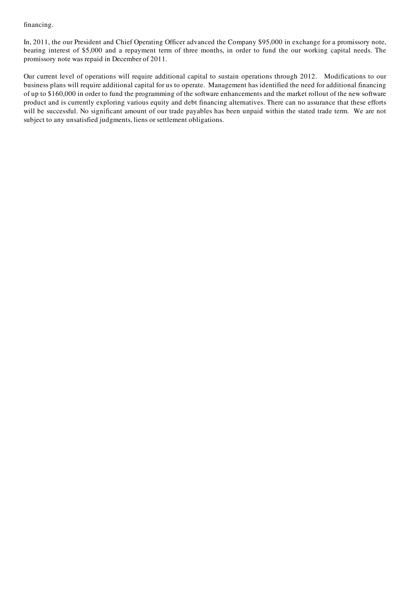#### financing.

In, 2011, the our President and Chief Operating Officer advanced the Company \$95,000 in exchange for a promissory note, bearing interest of \$5,000 and a repayment term of three months, in order to fund the our working capital needs. The promissory note was repaid in December of 2011.

Our current level of operations will require additional capital to sustain operations through 2012. Modifications to our business plans will require additional capital for us to operate. Management has identified the need for additional financing of up to \$160,000 in order to fund the programming of the software enhancements and the market rollout of the new software product and is currently exploring various equity and debt financing alternatives. There can no assurance that these efforts will be successful. No significant amount of our trade payables has been unpaid within the stated trade term. We are not subject to any unsatisfied judgments, liens or settlement obligations.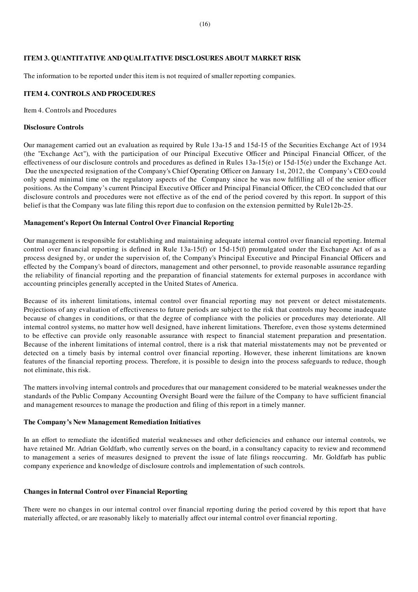#### ITEM 3. QUANTITATIVE AND QUALITATIVE DISCLOSURES ABOUT MARKET RISK

The information to be reported under this item is not required of smaller reporting companies.

#### ITEM 4. CONTROLS AND PROCEDURES

Item 4. Controls and Procedures

#### Disclosure Controls

Our management carried out an evaluation as required by Rule 13a-15 and 15d-15 of the Securities Exchange Act of 1934 (the "Exchange Act"), with the participation of our Principal Executive Officer and Principal Financial Officer, of the effectiveness of our disclosure controls and procedures as defined in Rules 13a-15(e) or 15d-15(e) under the Exchange Act. Due the unexpected resignation of the Company's Chief Operating Officer on January 1st, 2012, the Company's CEO could only spend minimal time on the regulatory aspects of the Company since he was now fulfilling all of the senior officer positions. As the Company's current Principal Executive Officer and Principal Financial Officer, the CEO concluded that our disclosure controls and procedures were not effective as of the end of the period covered by this report. In support of this belief is that the Company was late filing this report due to confusion on the extension permitted by Rule12b-25.

#### Management's Report On Internal Control Over Financial Reporting

Our management is responsible for establishing and maintaining adequate internal control over financial reporting. Internal control over financial reporting is defined in Rule 13a-15(f) or 15d-15(f) promulgated under the Exchange Act of as a process designed by, or under the supervision of, the Company's Principal Executive and Principal Financial Officers and effected by the Company's board of directors, management and other personnel, to provide reasonable assurance regarding the reliability of financial reporting and the preparation of financial statements for external purposes in accordance with accounting principles generally accepted in the United States of America.

Because of its inherent limitations, internal control over financial reporting may not prevent or detect misstatements. Projections of any evaluation of effectiveness to future periods are subject to the risk that controls may become inadequate because of changes in conditions, or that the degree of compliance with the policies or procedures may deteriorate. All internal control systems, no matter how well designed, have inherent limitations. Therefore, even those systems determined to be effective can provide only reasonable assurance with respect to financial statement preparation and presentation. Because of the inherent limitations of internal control, there is a risk that material misstatements may not be prevented or detected on a timely basis by internal control over financial reporting. However, these inherent limitations are known features of the financial reporting process. Therefore, it is possible to design into the process safeguards to reduce, though not eliminate, this risk.

The matters involving internal controls and procedures that our management considered to be material weaknesses under the standards of the Public Company Accounting Oversight Board were the failure of the Company to have sufficient financial and management resources to manage the production and filing of this report in a timely manner.

#### The Company's New Management Remediation Initiatives

In an effort to remediate the identified material weaknesses and other deficiencies and enhance our internal controls, we have retained Mr. Adrian Goldfarb, who currently serves on the board, in a consultancy capacity to review and recommend to management a series of measures designed to prevent the issue of late filings reoccurring. Mr. Goldfarb has public company experience and knowledge of disclosure controls and implementation of such controls.

#### Changes in Internal Control over Financial Reporting

There were no changes in our internal control over financial reporting during the period covered by this report that have materially affected, or are reasonably likely to materially affect our internal control over financial reporting.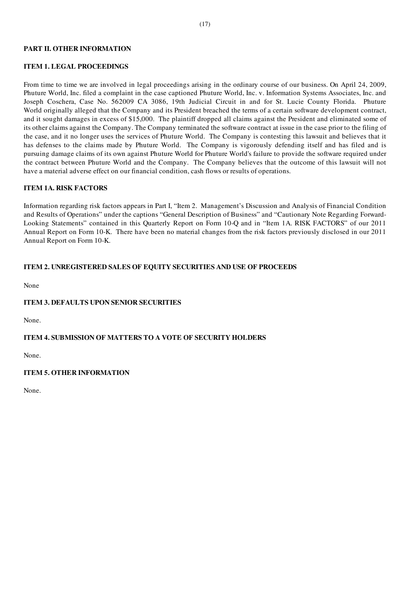#### PART II. OTHER INFORMATION

#### ITEM 1. LEGAL PROCEEDINGS

From time to time we are involved in legal proceedings arising in the ordinary course of our business. On April 24, 2009, Phuture World, Inc. filed a complaint in the case captioned Phuture World, Inc. v. Information Systems Associates, Inc. and Joseph Coschera, Case No. 562009 CA 3086, 19th Judicial Circuit in and for St. Lucie County Florida. Phuture World originally alleged that the Company and its President breached the terms of a certain software development contract, and it sought damages in excess of \$15,000. The plaintiff dropped all claims against the President and eliminated some of its other claims against the Company. The Company terminated the software contract at issue in the case prior to the filing of the case, and it no longer uses the services of Phuture World. The Company is contesting this lawsuit and believes that it has defenses to the claims made by Phuture World. The Company is vigorously defending itself and has filed and is pursuing damage claims of its own against Phuture World for Phuture World's failure to provide the software required under the contract between Phuture World and the Company. The Company believes that the outcome of this lawsuit will not have a material adverse effect on our financial condition, cash flows or results of operations.

#### ITEM 1A. RISK FACTORS

Information regarding risk factors appears in Part I, "Item 2. Management's Discussion and Analysis of Financial Condition and Results of Operations" under the captions "General Description of Business" and "Cautionary Note Regarding Forward-Looking Statements" contained in this Quarterly Report on Form 10-Q and in "Item 1A. RISK FACTORS" of our 2011 Annual Report on Form 10-K. There have been no material changes from the risk factors previously disclosed in our 2011 Annual Report on Form 10-K.

#### ITEM 2. UNREGISTERED SALES OF EQUITY SECURITIES AND USE OF PROCEEDS

None

#### ITEM 3. DEFAULTS UPON SENIOR SECURITIES

None.

#### ITEM 4. SUBMISSION OF MATTERS TO A VOTE OF SECURITY HOLDERS

None.

#### ITEM 5. OTHER INFORMATION

None.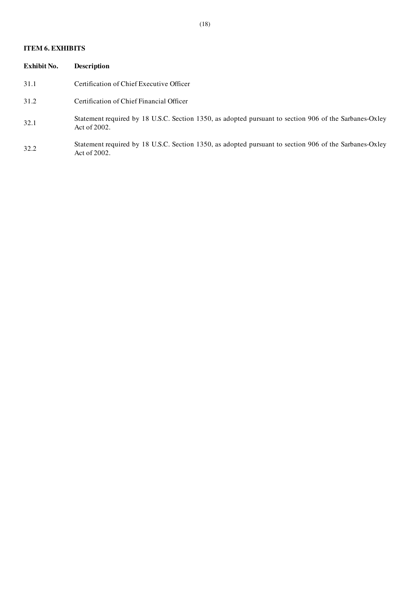#### ITEM 6. EXHIBITS

| Exhibit No. | <b>Description</b>                                                                                                        |
|-------------|---------------------------------------------------------------------------------------------------------------------------|
| 31.1        | Certification of Chief Executive Officer                                                                                  |
| 31.2        | Certification of Chief Financial Officer                                                                                  |
| 32.1        | Statement required by 18 U.S.C. Section 1350, as adopted pursuant to section 906 of the Sarbanes-Oxley<br>Act of $2002$ . |
| 32.2        | Statement required by 18 U.S.C. Section 1350, as adopted pursuant to section 906 of the Sarbanes-Oxley<br>Act of 2002.    |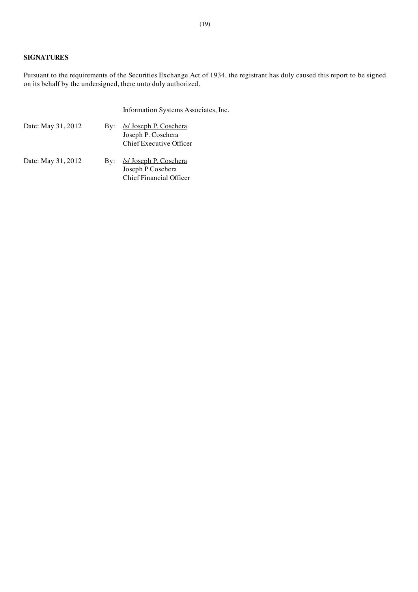## SIGNATURES

Pursuant to the requirements of the Securities Exchange Act of 1934, the registrant has duly caused this report to be signed on its behalf by the undersigned, there unto duly authorized.

|                    |     | Information Systems Associates, Inc.                                           |
|--------------------|-----|--------------------------------------------------------------------------------|
| Date: May 31, 2012 | By: | <u>/s/ Joseph P. Coschera</u><br>Joseph P. Coschera<br>Chief Executive Officer |
| Date: May 31, 2012 | Bv: | <i>Is/Joseph P. Coschera</i><br>Joseph P Coschera                              |

Chief Financial Officer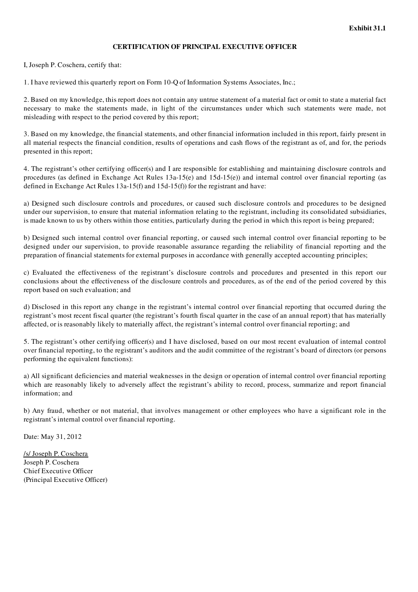#### CERTIFICATION OF PRINCIPAL EXECUTIVE OFFICER

I, Joseph P. Coschera, certify that:

1. I have reviewed this quarterly report on Form 10-Q of Information Systems Associates, Inc.;

2. Based on my knowledge, this report does not contain any untrue statement of a material fact or omit to state a material fact necessary to make the statements made, in light of the circumstances under which such statements were made, not misleading with respect to the period covered by this report;

3. Based on my knowledge, the financial statements, and other financial information included in this report, fairly present in all material respects the financial condition, results of operations and cash flows of the registrant as of, and for, the periods presented in this report;

4. The registrant's other certifying officer(s) and I are responsible for establishing and maintaining disclosure controls and procedures (as defined in Exchange Act Rules 13a-15(e) and 15d-15(e)) and internal control over financial reporting (as defined in Exchange Act Rules 13a-15(f) and 15d-15(f)) for the registrant and have:

a) Designed such disclosure controls and procedures, or caused such disclosure controls and procedures to be designed under our supervision, to ensure that material information relating to the registrant, including its consolidated subsidiaries, is made known to us by others within those entities, particularly during the period in which this report is being prepared;

b) Designed such internal control over financial reporting, or caused such internal control over financial reporting to be designed under our supervision, to provide reasonable assurance regarding the reliability of financial reporting and the preparation of financial statements for external purposes in accordance with generally accepted accounting principles;

c) Evaluated the effectiveness of the registrant's disclosure controls and procedures and presented in this report our conclusions about the effectiveness of the disclosure controls and procedures, as of the end of the period covered by this report based on such evaluation; and

d) Disclosed in this report any change in the registrant's internal control over financial reporting that occurred during the registrant's most recent fiscal quarter (the registrant's fourth fiscal quarter in the case of an annual report) that has materially affected, or is reasonably likely to materially affect, the registrant's internal control over financial reporting; and

5. The registrant's other certifying officer(s) and I have disclosed, based on our most recent evaluation of internal control over financial reporting, to the registrant's auditors and the audit committee of the registrant's board of directors (or persons performing the equivalent functions):

a) All significant deficiencies and material weaknesses in the design or operation of internal control over financial reporting which are reasonably likely to adversely affect the registrant's ability to record, process, summarize and report financial information; and

b) Any fraud, whether or not material, that involves management or other employees who have a significant role in the registrant's internal control over financial reporting.

Date: May 31, 2012

/s/ Joseph P. Coschera Joseph P. Coschera Chief Executive Officer (Principal Executive Officer)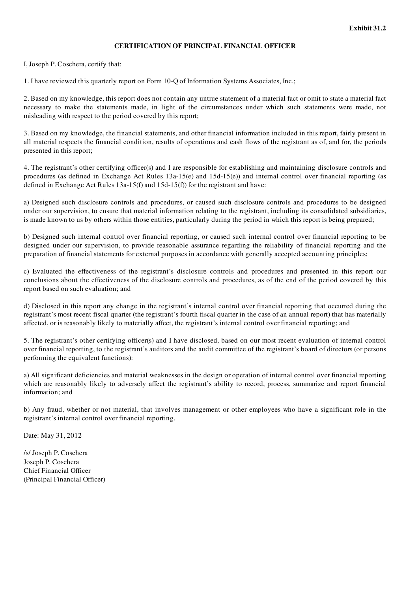#### CERTIFICATION OF PRINCIPAL FINANCIAL OFFICER

I, Joseph P. Coschera, certify that:

1. I have reviewed this quarterly report on Form 10-Q of Information Systems Associates, Inc.;

2. Based on my knowledge, this report does not contain any untrue statement of a material fact or omit to state a material fact necessary to make the statements made, in light of the circumstances under which such statements were made, not misleading with respect to the period covered by this report;

3. Based on my knowledge, the financial statements, and other financial information included in this report, fairly present in all material respects the financial condition, results of operations and cash flows of the registrant as of, and for, the periods presented in this report;

4. The registrant's other certifying officer(s) and I are responsible for establishing and maintaining disclosure controls and procedures (as defined in Exchange Act Rules 13a-15(e) and 15d-15(e)) and internal control over financial reporting (as defined in Exchange Act Rules 13a-15(f) and 15d-15(f)) for the registrant and have:

a) Designed such disclosure controls and procedures, or caused such disclosure controls and procedures to be designed under our supervision, to ensure that material information relating to the registrant, including its consolidated subsidiaries, is made known to us by others within those entities, particularly during the period in which this report is being prepared;

b) Designed such internal control over financial reporting, or caused such internal control over financial reporting to be designed under our supervision, to provide reasonable assurance regarding the reliability of financial reporting and the preparation of financial statements for external purposes in accordance with generally accepted accounting principles;

c) Evaluated the effectiveness of the registrant's disclosure controls and procedures and presented in this report our conclusions about the effectiveness of the disclosure controls and procedures, as of the end of the period covered by this report based on such evaluation; and

d) Disclosed in this report any change in the registrant's internal control over financial reporting that occurred during the registrant's most recent fiscal quarter (the registrant's fourth fiscal quarter in the case of an annual report) that has materially affected, or is reasonably likely to materially affect, the registrant's internal control over financial reporting; and

5. The registrant's other certifying officer(s) and I have disclosed, based on our most recent evaluation of internal control over financial reporting, to the registrant's auditors and the audit committee of the registrant's board of directors (or persons performing the equivalent functions):

a) All significant deficiencies and material weaknesses in the design or operation of internal control over financial reporting which are reasonably likely to adversely affect the registrant's ability to record, process, summarize and report financial information; and

b) Any fraud, whether or not material, that involves management or other employees who have a significant role in the registrant's internal control over financial reporting.

Date: May 31, 2012

/s/ Joseph P. Coschera Joseph P. Coschera Chief Financial Officer (Principal Financial Officer)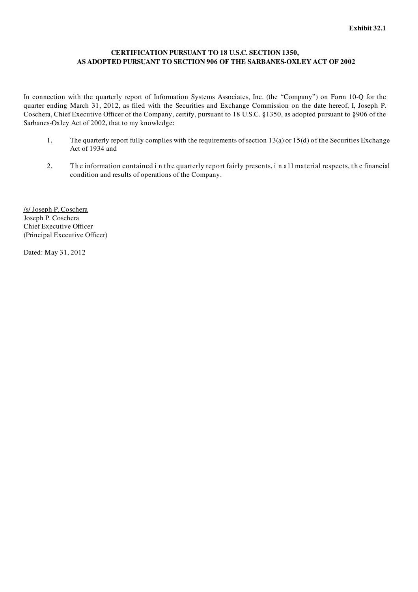## CERTIFICATION PURSUANT TO 18 U.S.C. SECTION 1350, AS ADOPTED PURSUANT TO SECTION 906 OF THE SARBANES-OXLEY ACT OF 2002

In connection with the quarterly report of Information Systems Associates, Inc. (the "Company") on Form 10-Q for the quarter ending March 31, 2012, as filed with the Securities and Exchange Commission on the date hereof, I, Joseph P. Coschera, Chief Executive Officer of the Company, certify, pursuant to 18 U.S.C. §1350, as adopted pursuant to §906 of the Sarbanes-Oxley Act of 2002, that to my knowledge:

- 1. The quarterly report fully complies with the requirements of section  $13(a)$  or  $15(d)$  of the Securities Exchange Act of 1934 and
- 2. The information contained in the quarterly report fairly presents, in a ll material respects, the financial condition and results of operations of the Company.

/s/ Joseph P. Coschera Joseph P. Coschera Chief Executive Officer (Principal Executive Officer)

Dated: May 31, 2012